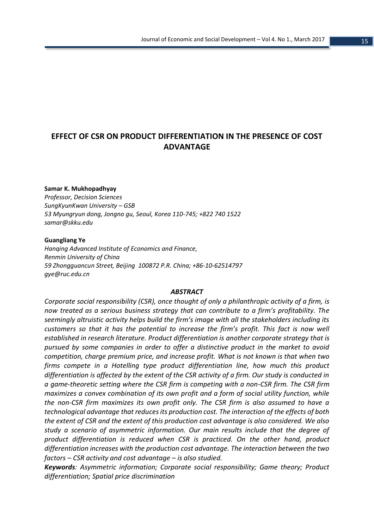# **EFFECT OF CSR ON PRODUCT DIFFERENTIATION IN THE PRESENCE OF COST ADVANTAGE**

### **Samar K. Mukhopadhyay**

*Professor, Decision Sciences SungKyunKwan University – GSB 53 Myungryun dong, Jongno gu, Seoul, Korea 110-745; +822 740 1522 samar@skku.edu*

### **Guangliang Ye**

*[Hanqing Advanced Institute of Economics and Finance,](http://www.hanqing.ruc.edu.cn/) [Renmin University of China](http://www.ruc.edu.cn/) 59 Zhongguancun Street, Beijing 100872 P.R. China; +86-10-62514797 gye@ruc.edu.cn*

#### *ABSTRACT*

*Corporate social responsibility (CSR), once thought of only a philanthropic activity of a firm, is now treated as a serious business strategy that can contribute to a firm's profitability. The seemingly altruistic activity helps build the firm's image with all the stakeholders including its customers so that it has the potential to increase the firm's profit. This fact is now well established in research literature. Product differentiation is another corporate strategy that is pursued by some companies in order to offer a distinctive product in the market to avoid competition, charge premium price, and increase profit. What is not known is that when two firms compete in a Hotelling type product differentiation line, how much this product differentiation is affected by the extent of the CSR activity of a firm. Our study is conducted in a game-theoretic setting where the CSR firm is competing with a non-CSR firm. The CSR firm maximizes a convex combination of its own profit and a form of social utility function, while the non-CSR firm maximizes its own profit only. The CSR firm is also assumed to have a technological advantage that reduces its production cost. The interaction of the effects of both the extent of CSR and the extent of this production cost advantage is also considered. We also study a scenario of asymmetric information. Our main results include that the degree of product differentiation is reduced when CSR is practiced. On the other hand, product differentiation increases with the production cost advantage. The interaction between the two factors – CSR activity and cost advantage – is also studied.*

*Keywords: Asymmetric information; Corporate social responsibility; Game theory; Product differentiation; Spatial price discrimination*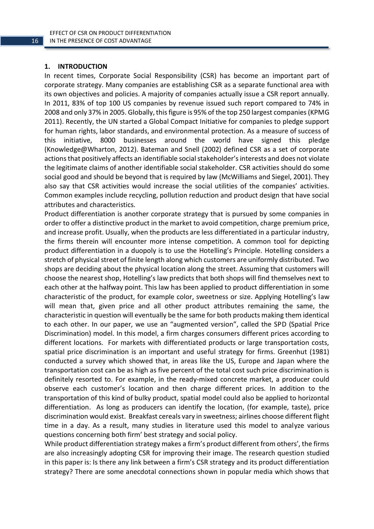# **1. INTRODUCTION**

In recent times, Corporate Social Responsibility (CSR) has become an important part of corporate strategy. Many companies are establishing CSR as a separate functional area with its own objectives and policies. A majority of companies actually issue a CSR report annually. In 2011, 83% of top 100 US companies by revenue issued such report compared to 74% in 2008 and only 37% in 2005. Globally, this figure is 95% of the top 250 largest companies (KPMG 2011). Recently, the UN started a Global Compact Initiative for companies to pledge support for human rights, labor standards, and environmental protection. As a measure of success of this initiative, 8000 businesses around the world have signed this pledge (Knowledge@Wharton, 2012). Bateman and Snell (2002) defined CSR as a set of corporate actions that positively affects an identifiable social stakeholder's interests and does not violate the legitimate claims of another identifiable social stakeholder. CSR activities should do some social good and should be beyond that is required by law (McWilliams and Siegel, 2001). They also say that CSR activities would increase the social utilities of the companies' activities. Common examples include recycling, pollution reduction and product design that have social attributes and characteristics.

Product differentiation is another corporate strategy that is pursued by some companies in order to offer a distinctive product in the market to avoid competition, charge premium price, and increase profit. Usually, when the products are less differentiated in a particular industry, the firms therein will encounter more intense competition. A common tool for depicting product differentiation in a duopoly is to use the Hotelling's Principle. Hotelling considers a stretch of physical street of finite length along which customers are uniformly distributed. Two shops are deciding about the physical location along the street. Assuming that customers will choose the nearest shop, Hotelling's law predicts that both shops will find themselves next to each other at the halfway point. This law has been applied to product differentiation in some characteristic of the product, for example color, sweetness or size. Applying Hotelling's law will mean that, given price and all other product attributes remaining the same, the characteristic in question will eventually be the same for both products making them identical to each other. In our paper, we use an "augmented version", called the SPD (Spatial Price Discrimination) model. In this model, a firm charges consumers different prices according to different locations. For markets with differentiated products or large transportation costs, spatial price discrimination is an important and useful strategy for firms. Greenhut (1981) conducted a survey which showed that, in areas like the US, Europe and Japan where the transportation cost can be as high as five percent of the total cost such price discrimination is definitely resorted to. For example, in the ready-mixed concrete market, a producer could observe each customer's location and then charge different prices. In addition to the transportation of this kind of bulky product, spatial model could also be applied to horizontal differentiation. As long as producers can identify the location, (for example, taste), price discrimination would exist. Breakfast cereals vary in sweetness; airlines choose different flight time in a day. As a result, many studies in literature used this model to analyze various questions concerning both firm' best strategy and social policy.

While product differentiation strategy makes a firm's product different from others', the firms are also increasingly adopting CSR for improving their image. The research question studied in this paper is: Is there any link between a firm's CSR strategy and its product differentiation strategy? There are some anecdotal connections shown in popular media which shows that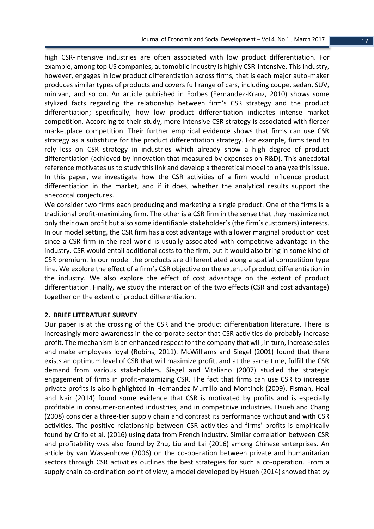high CSR-intensive industries are often associated with low product differentiation. For example, among top US companies, automobile industry is highly CSR-intensive. This industry, however, engages in low product differentiation across firms, that is each major auto-maker produces similar types of products and covers full range of cars, including coupe, sedan, SUV, minivan, and so on. An article published in Forbes (Fernandez-Kranz, 2010) shows some stylized facts regarding the relationship between firm's CSR strategy and the product differentiation; specifically, how low product differentiation indicates intense market competition. According to their study, more intensive CSR strategy is associated with fiercer marketplace competition. Their further empirical evidence shows that firms can use CSR strategy as a substitute for the product differentiation strategy. For example, firms tend to rely less on CSR strategy in industries which already show a high degree of product differentiation (achieved by innovation that measured by expenses on R&D). This anecdotal reference motivates us to study this link and develop a theoretical model to analyze this issue. In this paper, we investigate how the CSR activities of a firm would influence product differentiation in the market, and if it does, whether the analytical results support the anecdotal conjectures.

We consider two firms each producing and marketing a single product. One of the firms is a traditional profit-maximizing firm. The other is a CSR firm in the sense that they maximize not only their own profit but also some identifiable stakeholder's (the firm's customers) interests. In our model setting, the CSR firm has a cost advantage with a lower marginal production cost since a CSR firm in the real world is usually associated with competitive advantage in the industry. CSR would entail additional costs to the firm, but it would also bring in some kind of CSR premium. In our model the products are differentiated along a spatial competition type line. We explore the effect of a firm's CSR objective on the extent of product differentiation in the industry. We also explore the effect of cost advantage on the extent of product differentiation. Finally, we study the interaction of the two effects (CSR and cost advantage) together on the extent of product differentiation.

### **2. BRIEF LITERATURE SURVEY**

Our paper is at the crossing of the CSR and the product differentiation literature. There is increasingly more awareness in the corporate sector that CSR activities do probably increase profit. The mechanism is an enhanced respect for the company that will, in turn, increase sales and make employees loyal (Robins, 2011). McWilliams and Siegel (2001) found that there exists an optimum level of CSR that will maximize profit, and at the same time, fulfill the CSR demand from various stakeholders. Siegel and Vitaliano (2007) studied the strategic engagement of firms in profit-maximizing CSR. The fact that firms can use CSR to increase private profits is also highlighted in Hernandez-Murrillo and Montinek (2009). Fisman, Heal and Nair (2014) found some evidence that CSR is motivated by profits and is especially profitable in consumer-oriented industries, and in competitive industries. Hsueh and Chang (2008) consider a three-tier supply chain and contrast its performance without and with CSR activities. The positive relationship between CSR activities and firms' profits is empirically found by Crifo et al. (2016) using data from French industry. Similar correlation between CSR and profitability was also found by Zhu, Liu and Lai (2016) among Chinese enterprises. An article by van Wassenhove (2006) on the co-operation between private and humanitarian sectors through CSR activities outlines the best strategies for such a co-operation. From a supply chain co-ordination point of view, a model developed by Hsueh (2014) showed that by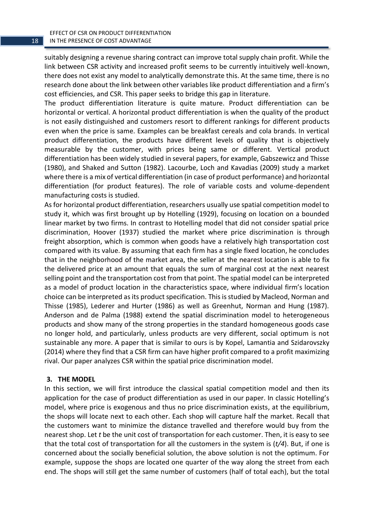suitably designing a revenue sharing contract can improve total supply chain profit. While the link between CSR activity and increased profit seems to be currently intuitively well-known, there does not exist any model to analytically demonstrate this. At the same time, there is no research done about the link between other variables like product differentiation and a firm's cost efficiencies, and CSR. This paper seeks to bridge this gap in literature.

The product differentiation literature is quite mature. Product differentiation can be horizontal or vertical. A horizontal product differentiation is when the quality of the product is not easily distinguished and customers resort to different rankings for different products even when the price is same. Examples can be breakfast cereals and cola brands. In vertical product differentiation, the products have different levels of quality that is objectively measurable by the customer, with prices being same or different. Vertical product differentiation has been widely studied in several papers, for example, Gabszewicz and Thisse (1980), and Shaked and Sutton (1982). Lacourbe, Loch and Kavadias (2009) study a market where there is a mix of vertical differentiation (in case of product performance) and horizontal differentiation (for product features). The role of variable costs and volume-dependent manufacturing costs is studied.

As for horizontal product differentiation, researchers usually use spatial competition model to study it, which was first brought up by Hotelling (1929), focusing on location on a bounded linear market by two firms. In contrast to Hotelling model that did not consider spatial price discrimination, Hoover (1937) studied the market where price discrimination is through freight absorption, which is common when goods have a relatively high transportation cost compared with its value. By assuming that each firm has a single fixed location, he concludes that in the neighborhood of the market area, the seller at the nearest location is able to fix the delivered price at an amount that equals the sum of marginal cost at the next nearest selling point and the transportation cost from that point. The spatial model can be interpreted as a model of product location in the characteristics space, where individual firm's location choice can be interpreted as its product specification. This is studied by Macleod, Norman and Thisse (1985), Lederer and Hurter (1986) as well as Greenhut, Norman and Hung (1987). Anderson and de Palma (1988) extend the spatial discrimination model to heterogeneous products and show many of the strong properties in the standard homogeneous goods case no longer hold, and particularly, unless products are very different, social optimum is not sustainable any more. A paper that is similar to ours is by Kopel, [Lamantia](http://search.proquest.com.ezproxy.lib.uwm.edu/abicomplete/indexinglinkhandler/sng/au/Lamantia,+Fabio/$N?accountid=15078) and [Szidarovszky](http://search.proquest.com.ezproxy.lib.uwm.edu/abicomplete/indexinglinkhandler/sng/au/Szidarovszky,+Ferenc/$N?accountid=15078) (2014) where they find that a CSR firm can have higher profit compared to a profit maximizing rival. Our paper analyzes CSR within the spatial price discrimination model.

# **3. THE MODEL**

In this section, we will first introduce the classical spatial competition model and then its application for the case of product differentiation as used in our paper. In classic Hotelling's model, where price is exogenous and thus no price discrimination exists, at the equilibrium, the shops will locate next to each other. Each shop will capture half the market. Recall that the customers want to minimize the distance travelled and therefore would buy from the nearest shop. Let *t* be the unit cost of transportation for each customer. Then, it is easy to see that the total cost of transportation for all the customers in the system is (*t/4*). But, if one is concerned about the socially beneficial solution, the above solution is not the optimum. For example, suppose the shops are located one quarter of the way along the street from each end. The shops will still get the same number of customers (half of total each), but the total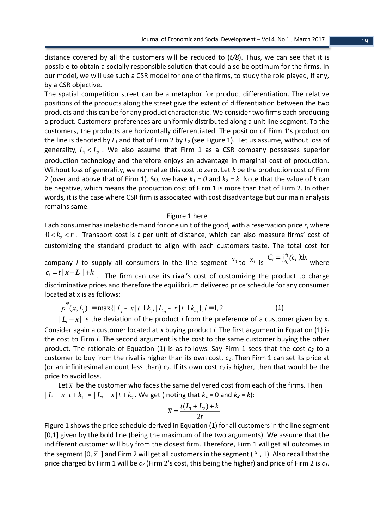distance covered by all the customers will be reduced to (*t/8*). Thus, we can see that it is possible to obtain a socially responsible solution that could also be optimum for the firms. In our model, we will use such a CSR model for one of the firms, to study the role played, if any, by a CSR objective.

The spatial competition street can be a metaphor for product differentiation. The relative positions of the products along the street give the extent of differentiation between the two products and this can be for any product characteristic. We consider two firms each producing a product. Customers' preferences are uniformly distributed along a unit line segment. To the customers, the products are horizontally differentiated. The position of Firm 1's product on the line is denoted by *L<sup>1</sup>* and that of Firm 2 by *L<sup>2</sup>* (see Figure 1). Let us assume, without loss of generality,  $L_1 < L_2$ . We also assume that Firm 1 as a CSR company possesses superior production technology and therefore enjoys an advantage in marginal cost of production. Without loss of generality, we normalize this cost to zero. Let *k* be the production cost of Firm 2 (over and above that of Firm 1). So, we have  $k_1 = 0$  and  $k_2 = k$ . Note that the value of *k* can be negative, which means the production cost of Firm 1 is more than that of Firm 2. In other words, it is the case where CSR firm is associated with cost disadvantage but our main analysis remains same.

### Figure 1 here

Each consumer has inelastic demand for one unit of the good, with a reservation price *r*, where  $0\!<\! k_{2}\!<\! r$  . Transport cost is t per unit of distance, which can also measure firms' cost of customizing the standard product to align with each customers taste. The total cost for company *i* to supply all consumers in the line segment  $x_0$  to  $x_1$  is 0  $C_i = \int_{x_0}^{x_1} (c_i) dx$ where  $c_i = t / x - L_i / + k_i$  . The firm can use its rival's cost of customizing the product to charge discriminative prices and therefore the equilibrium delivered price schedule for any consumer located at x is as follows:

$$
p^*(x, L_i) = \max\{|L_i - x | t + k_i, |L_{-i} - x | t + k_{-i}\}, i = 1, 2
$$
 (1)

 $|L<sub>i</sub> - x|$  is the deviation of the product *i* from the preference of a customer given by *x*. Consider again a customer located at *x* buying product *i.* The first argument in Equation (1) is the cost to Firm *i*. The second argument is the cost to the same customer buying the other product. The rationale of Equation (1) is as follows. Say Firm 1 sees that the cost *c<sup>2</sup>* to a customer to buy from the rival is higher than its own cost, *c1*. Then Firm 1 can set its price at (or an infinitesimal amount less than) *c2*. If its own cost *c1* is higher, then that would be the price to avoid loss.

Let  $\bar{x}$  be the customer who faces the same delivered cost from each of the firms. Then  $| L_1 - x | t + k_1 | = | L_2 - x | t + k_2 |$ . We get (noting that  $k_1 = 0$  and  $k_2 = k$ ):

$$
\overline{x} = \frac{t(L_1 + L_2) + k}{2t}
$$

Figure 1 shows the price schedule derived in Equation (1) for all customers in the line segment [0,1] given by the bold line (being the maximum of the two arguments). We assume that the indifferent customer will buy from the closest firm. Therefore, Firm 1 will get all outcomes in the segment [0,  $\bar{x}$  ] and Firm 2 will get all customers in the segment (  $^x$  , 1). Also recall that the price charged by Firm 1 will be *c<sup>2</sup>* (Firm 2's cost, this being the higher) and price of Firm 2 is *c1*.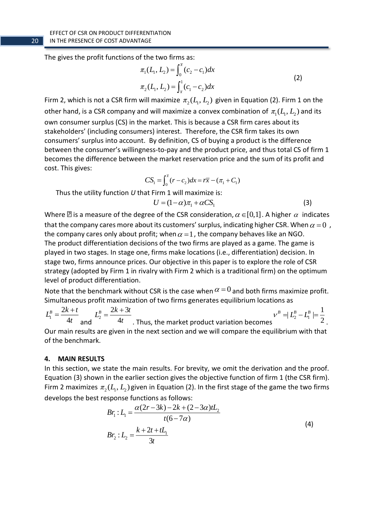The gives the profit functions of the two firms as:

$$
\pi_1(L_1, L_2) = \int_0^{\bar{x}} (c_2 - c_1) dx
$$
  
\n
$$
\pi_2(L_1, L_2) = \int_{\bar{x}}^1 (c_1 - c_2) dx
$$
\n(2)

Firm 2, which is not a CSR firm will maximize  $\pi_2(L, L_2)$  given in Equation (2). Firm 1 on the other hand, is a CSR company and will maximize a convex combination of  $\pi_1(L, L_2)$  and its own consumer surplus (CS) in the market. This is because a CSR firm cares about its stakeholders' (including consumers) interest. Therefore, the CSR firm takes its own consumers' surplus into account. By definition, CS of buying a product is the difference between the consumer's willingness-to-pay and the product price, and thus total CS of firm 1 becomes the difference between the market reservation price and the sum of its profit and cost. This gives:

$$
CS_1 = \int_0^{\bar{x}} (r - c_2) dx = r\bar{x} - (\pi_1 + C_1)
$$

Thus the utility function *U* that Firm 1 will maximize is:

$$
U = (1 - \alpha)\pi_1 + \alpha CS_1 \tag{3}
$$

Where  $\boxtimes$  is a measure of the degree of the CSR consideration,  $\alpha$   $\in$  [0,1] . A higher  $\,\alpha\,$  indicates that the company cares more about its customers' surplus, indicating higher CSR. When  $\alpha\!=\!0\,$  , the company cares only about profit; when  $\alpha$  = 1 , the company behaves like an NGO. The product differentiation decisions of the two firms are played as a game. The game is played in two stages. In stage one, firms make locations (i.e., differentiation) decision. In stage two, firms announce prices. Our objective in this paper is to explore the role of CSR strategy (adopted by Firm 1 in rivalry with Firm 2 which is a traditional firm) on the optimum level of product differentiation.

Note that the benchmark without CSR is the case when  $\alpha$  =  $0$  and both firms maximize profit. Simultaneous profit maximization of two firms generates equilibrium locations as

1 2 4  $L^B = \frac{2k + t}{ }$ *t*  $=\frac{2k+t}{4t}$  and  $L_2^B$  $2k + 3$ 4  $L_0^B = \frac{2k+3t}{ }$ *t*  $=\frac{2k+3t}{4t}$ . Thus, the market product variation becomes  $v^B = L_2^B - L_1^B$  $|L_2^B - L_1^B| = \frac{1}{2}$ 2  $\nu^{B} = L_{2}^{B} - L_{1}^{B} =$ . Our main results are given in the next section and we will compare the equilibrium with that of the benchmark.

### **4. MAIN RESULTS**

In this section, we state the main results. For brevity, we omit the derivation and the proof. Equation (3) shown in the earlier section gives the objective function of firm 1 (the CSR firm). Firm 2 maximizes  $\pi_2(L_1, L_2)$  given in Equation (2). In the first stage of the game the two firms develops the best response functions as follows:

$$
Br_1: L_1 = \frac{\alpha(2r - 3k) - 2k + (2 - 3\alpha)tL_2}{t(6 - 7\alpha)}
$$
  
\n
$$
Br_2: L_2 = \frac{k + 2t + tL_1}{3t}
$$
 (4)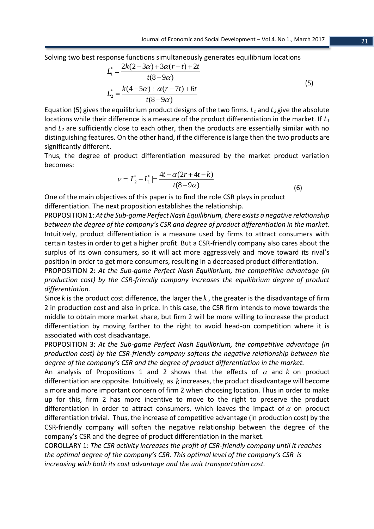Solving two best response functions simultaneously generates equilibrium locations

$$
L_1^* = \frac{2k(2-3\alpha) + 3\alpha(r-t) + 2t}{t(8-9\alpha)}
$$
  

$$
L_2^* = \frac{k(4-5\alpha) + \alpha(r-7t) + 6t}{t(8-9\alpha)}
$$
 (5)

Equation (5) gives the equilibrium product designs of the two firms. *L<sup>1</sup>* and *L2* give the absolute locations while their difference is a measure of the product differentiation in the market. If *L<sup>1</sup>* and *L<sup>2</sup>* are sufficiently close to each other, then the products are essentially similar with no distinguishing features. On the other hand, if the difference is large then the two products are significantly different.

Thus, the degree of product differentiation measured by the market product variation becomes:

$$
v = |L_2^* - L_1^*| = \frac{4t - \alpha(2r + 4t - k)}{t(8 - 9\alpha)}
$$
(6)

One of the main objectives of this paper is to find the role CSR plays in product differentiation. The next proposition establishes the relationship.

PROPOSITION 1: *At the Sub-game Perfect Nash Equilibrium, there exists a negative relationship between the degree of the company's CSR and degree of product differentiation in the market.* Intuitively, product differentiation is a measure used by firms to attract consumers with certain tastes in order to get a higher profit. But a CSR-friendly company also cares about the surplus of its own consumers, so it will act more aggressively and move toward its rival's position in order to get more consumers, resulting in a decreased product differentiation.

PROPOSITION 2: *At the Sub-game Perfect Nash Equilibrium, the competitive advantage (in production cost) by the CSR-friendly company increases the equilibrium degree of product differentiation.* 

Since  $k$  is the product cost difference, the larger the  $k$  , the greater is the disadvantage of firm 2 in production cost and also in price. In this case, the CSR firm intends to move towards the middle to obtain more market share, but firm 2 will be more willing to increase the product differentiation by moving farther to the right to avoid head-on competition where it is associated with cost disadvantage.

PROPOSITION 3: *At the Sub-game Perfect Nash Equilibrium, the competitive advantage (in production cost) by the CSR-friendly company softens the negative relationship between the degree of the company's CSR and the degree of product differentiation in the market.* 

An analysis of Propositions 1 and 2 shows that the effects of  $\alpha$  and  $k$  on product differentiation are opposite. Intuitively, as  $k$  increases, the product disadvantage will become a more and more important concern of firm 2 when choosing location. Thus in order to make up for this, firm 2 has more incentive to move to the right to preserve the product differentiation in order to attract consumers, which leaves the impact of  $\alpha$  on product differentiation trivial. Thus, the increase of competitive advantage (in production cost) by the CSR-friendly company will soften the negative relationship between the degree of the company's CSR and the degree of product differentiation in the market.

COROLLARY 1: *The CSR activity increases the profit of CSR-friendly company until it reaches the optimal degree of the company's CSR. This optimal level of the company's CSR is increasing with both its cost advantage and the unit transportation cost.*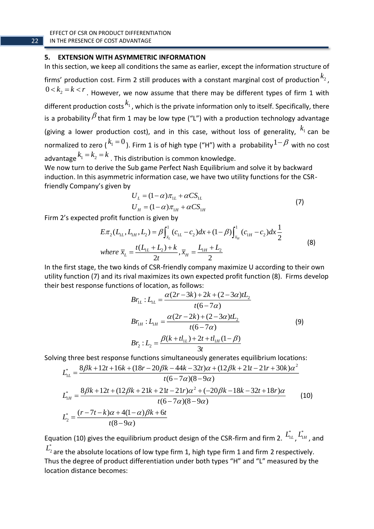### **5. EXTENSION WITH ASYMMETRIC INFORMATION**

In this section, we keep all conditions the same as earlier, except the information structure of firms' production cost. Firm 2 still produces with a constant marginal cost of production  $^{k_2}$ ,  $0\!<\! k_{\rm 2}\!=\!k\!<\!r$  . However, we now assume that there may be different types of firm 1 with different production costs  $^{k_1}$ , which is the private information only to itself. Specifically, there is a probability  $^\beta$  that firm 1 may be low type ("L") with a production technology advantage (giving a lower production cost), and in this case, without loss of generality,  $k_1$  can be normalized to zero ( $k_1=0$ ). Firm 1 is of high type ("H") with a probability  $1-\beta$  with no cost advantage  $k_1 = k_2 = k$  . This distribution is common knowledge.

We now turn to derive the Sub game Perfect Nash Equilibrium and solve it by backward induction. In this asymmetric information case, we have two utility functions for the CSRfriendly Company's given by

$$
U_L = (1 - \alpha)\pi_{1L} + \alpha CS_{1L}
$$
  
\n
$$
U_H = (1 - \alpha)\pi_{1H} + \alpha CS_{1H}
$$
\n(7)

Firm 2's expected profit function is given by

$$
E\pi_2(L_{1L}, L_{1H}, L_2) = \beta \int_{\bar{x}_L}^1 (c_{1L} - c_2) dx + (1 - \beta) \int_{\bar{x}_H}^1 (c_{1H} - c_2) dx \frac{1}{2}
$$
  
where  $\bar{x}_L = \frac{t(L_{1L} + L_2) + k}{2t}$ ,  $\bar{x}_H = \frac{L_{1H} + L_2}{2}$  (8)

In the first stage, the two kinds of CSR-friendly company maximize U according to their own utility function (7) and its rival maximizes its own expected profit function (8). Firms develop their best response functions of location, as follows:

$$
Br_{LL}: L_{LL} = \frac{\alpha(2r - 3k) + 2k + (2 - 3\alpha)tL_2}{t(6 - 7\alpha)}
$$
  
\n
$$
Br_{LH}: L_{LH} = \frac{\alpha(2r - 2k) + (2 - 3\alpha)tL_2}{t(6 - 7\alpha)}
$$
  
\n
$$
Br_2: L_2 = \frac{\beta(k + t l_{LL}) + 2t + t l_{LH}(1 - \beta)}{3t}
$$
 (9)

Solving three best response functions simultaneously generates equilibrium locations:

$$
L_{1L}^{*} = \frac{8\beta k + 12t + 16k + (18r - 20\beta k - 44k - 32t)\alpha + (12\beta k + 21t - 21r + 30k)\alpha^{2}}{t(6 - 7\alpha)(8 - 9\alpha)}
$$
  
\n
$$
L_{1H}^{*} = \frac{8\beta k + 12t + (12\beta k + 21k + 21t - 21r)\alpha^{2} + (-20\beta k - 18k - 32t + 18r)\alpha}{t(6 - 7\alpha)(8 - 9\alpha)}
$$
(10)  
\n
$$
L_{2}^{*} = \frac{(r - 7t - k)\alpha + 4(1 - \alpha)\beta k + 6t}{t(8 - 9\alpha)}
$$

Equation (10) gives the equilibrium product design of the CSR-firm and firm 2.  $\ddot{L_{1L}}$  ,  $\ddot{L_{1H}}$  , and \* $L^{2}_{2}$  are the absolute locations of low type firm 1, high type firm 1 and firm 2 respectively.

Thus the degree of product differentiation under both types "H" and "L" measured by the location distance becomes: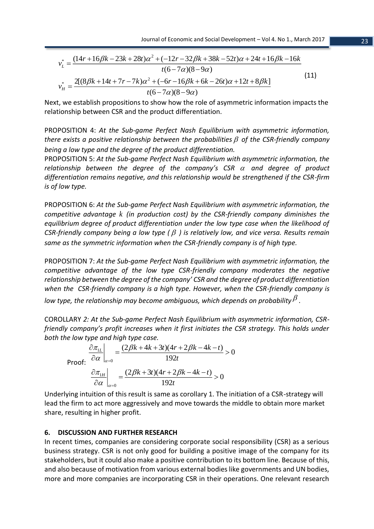2 \* 2 \* (14 16 23 28 ) ( 12 32 38 52 ) 24 16 16 *r k k t r k k t t k k* (6 7 )(8 9 ) 2[(8 14 7 7 ) ( 6 16 6 26 ) 12 8 ] (6 7 )(8 9 ) *L H v t k t r k r k k t t k v t* (11)

Next, we establish propositions to show how the role of asymmetric information impacts the relationship between CSR and the product differentiation.

PROPOSITION 4: *At the Sub-game Perfect Nash Equilibrium with asymmetric information,*  there exists a positive relationship between the probabilities  $\beta$  of the CSR-friendly company *being a low type and the degree of the product differentiation.* 

PROPOSITION 5: *At the Sub-game Perfect Nash Equilibrium with asymmetric information, the*  relationship between the degree of the company's CSR  $\alpha$  and degree of product *differentiation remains negative, and this relationship would be strengthened if the CSR-firm is of low type.*

PROPOSITION 6: *At the Sub-game Perfect Nash Equilibrium with asymmetric information, the competitive advantage k (in production cost) by the CSR-friendly company diminishes the equilibrium degree of product differentiation under the low type case when the likelihood of*  CSR-friendly company being a low type ( $\beta$ ) is relatively low, and vice versa. Results remain *same as the symmetric information when the CSR-friendly company is of high type.*

PROPOSITION 7: *At the Sub-game Perfect Nash Equilibrium with asymmetric information, the competitive advantage of the low type CSR-friendly company moderates the negative relationship between the degree of the company' CSR and the degree of product differentiation when the CSR-friendly company is a high type. However, when the CSR-friendly company is*  low type, the relationship may become ambiguous, which depends on probability  $^\beta$  .

COROLLARY *2: At the Sub-game Perfect Nash Equilibrium with asymmetric information, CSRfriendly company's profit increases when it first initiates the CSR strategy. This holds under both the low type and high type case.* 

$$
\left.\frac{\partial \pi_{1L}}{\partial \alpha}\right|_{\alpha=0} = \frac{(2\beta k + 4k + 3t)(4r + 2\beta k - 4k - t)}{192t} > 0
$$
\n
$$
\left.\frac{\partial \pi_{1H}}{\partial \alpha}\right|_{\alpha=0} = \frac{(2\beta k + 3t)(4r + 2\beta k - 4k - t)}{192t} > 0
$$

Underlying intuition of this result is same as corollary 1. The initiation of a CSR-strategy will lead the firm to act more aggressively and move towards the middle to obtain more market share, resulting in higher profit.

## **6. DISCUSSION AND FURTHER RESEARCH**

In recent times, companies are considering corporate social responsibility (CSR) as a serious business strategy. CSR is not only good for building a positive image of the company for its stakeholders, but it could also make a positive contribution to its bottom line. Because of this, and also because of motivation from various external bodies like governments and UN bodies, more and more companies are incorporating CSR in their operations. One relevant research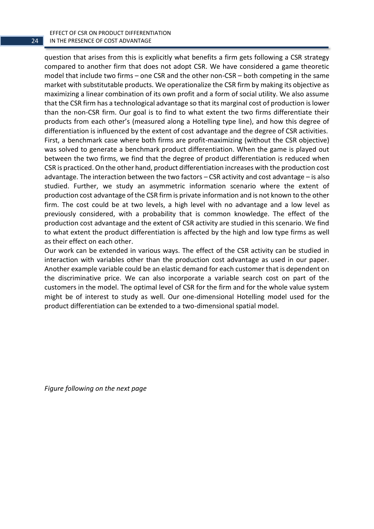EFFECT OF CSR ON PRODUCT DIFFERENTIATION IN THE PRESENCE OF COST ADVANTAGE

question that arises from this is explicitly what benefits a firm gets following a CSR strategy compared to another firm that does not adopt CSR. We have considered a game theoretic model that include two firms – one CSR and the other non-CSR – both competing in the same market with substitutable products. We operationalize the CSR firm by making its objective as maximizing a linear combination of its own profit and a form of social utility. We also assume that the CSR firm has a technological advantage so that its marginal cost of production is lower than the non-CSR firm. Our goal is to find to what extent the two firms differentiate their products from each other's (measured along a Hotelling type line), and how this degree of differentiation is influenced by the extent of cost advantage and the degree of CSR activities. First, a benchmark case where both firms are profit-maximizing (without the CSR objective) was solved to generate a benchmark product differentiation. When the game is played out between the two firms, we find that the degree of product differentiation is reduced when CSR is practiced. On the other hand, product differentiation increases with the production cost advantage. The interaction between the two factors – CSR activity and cost advantage – is also studied. Further, we study an asymmetric information scenario where the extent of production cost advantage of the CSR firm is private information and is not known to the other firm. The cost could be at two levels, a high level with no advantage and a low level as previously considered, with a probability that is common knowledge. The effect of the production cost advantage and the extent of CSR activity are studied in this scenario. We find to what extent the product differentiation is affected by the high and low type firms as well as their effect on each other.

Our work can be extended in various ways. The effect of the CSR activity can be studied in interaction with variables other than the production cost advantage as used in our paper. Another example variable could be an elastic demand for each customer that is dependent on the discriminative price. We can also incorporate a variable search cost on part of the customers in the model. The optimal level of CSR for the firm and for the whole value system might be of interest to study as well. Our one-dimensional Hotelling model used for the product differentiation can be extended to a two-dimensional spatial model.

*Figure following on the next page*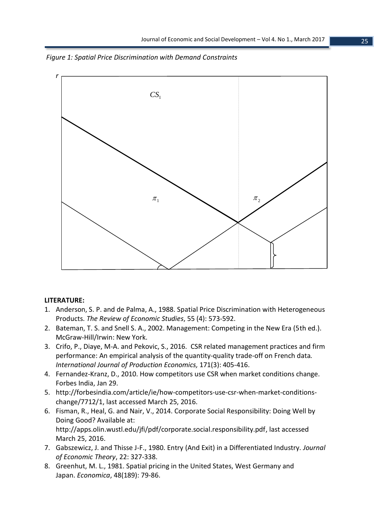



### **LITERATURE:**

- 1. Anderson, S. P. and de Palma, A., 1988. Spatial Price Discrimination with Heterogeneous Products. *The Review of Economic Studies*, 55 (4): 573-592.
- 2. Bateman, T. S. and Snell S. A., 2002. Management: Competing in the New Era (5th ed.). McGraw-Hill/Irwin: New York.
- 3. Crifo, P., Diaye, M-A. and [Pekovic, S.,](http://search.proquest.com.ezproxy.lib.uwm.edu/abicomplete/indexinglinkhandler/sng/au/Pekovic,+Sanja/$N?accountid=15078) 2016. CSR related management practices and firm performance: An empirical analysis of the quantity-quality trade-off on French data*. [International Journal of Production Economics,](http://search.proquest.com.ezproxy.lib.uwm.edu/abicomplete/pubidlinkhandler/sng/pubtitle/International+Journal+of+Production+Economics/$N/45063/DocView/1749621780/abstract/B901C7D044044146PQ/1?accountid=15078)* [171\(3\):](http://search.proquest.com.ezproxy.lib.uwm.edu/abicomplete/indexingvolumeissuelinkhandler/45063/International+Journal+of+Production+Economics/02016Y01Y01$23Jan+2016$3b++Vol.+171/171/$B?accountid=15078) 405-416.
- 4. Fernandez-Kranz, D., 2010. How competitors use CSR when market conditions change. Forbes India, Jan 29.
- 5. [http://forbesindia.com/article/ie/how-competitors-use-csr-when-market-conditions](http://forbesindia.com/article/ie/how-competitors-use-csr-when-market-conditions-change/7712/1)[change/7712/1,](http://forbesindia.com/article/ie/how-competitors-use-csr-when-market-conditions-change/7712/1) last accessed March 25, 2016.
- 6. Fisman, R., Heal, G. and Nair, V., 2014. Corporate Social Responsibility: Doing Well by Doing Good? Available at: [http://apps.olin.wustl.edu/jfi/pdf/corporate.social.responsibility.pdf,](http://apps.olin.wustl.edu/jfi/pdf/corporate.social.responsibility.pdf) last accessed March 25, 2016.
- 7. Gabszewicz, J. and Thisse J-F., 1980. Entry (And Exit) in a Differentiated Industry. *Journal of Economic Theory*, 22: 327-338.
- 8. Greenhut, M. L., 1981. Spatial pricing in the United States, West Germany and Japan. *Economica*, 48(189): 79-86.